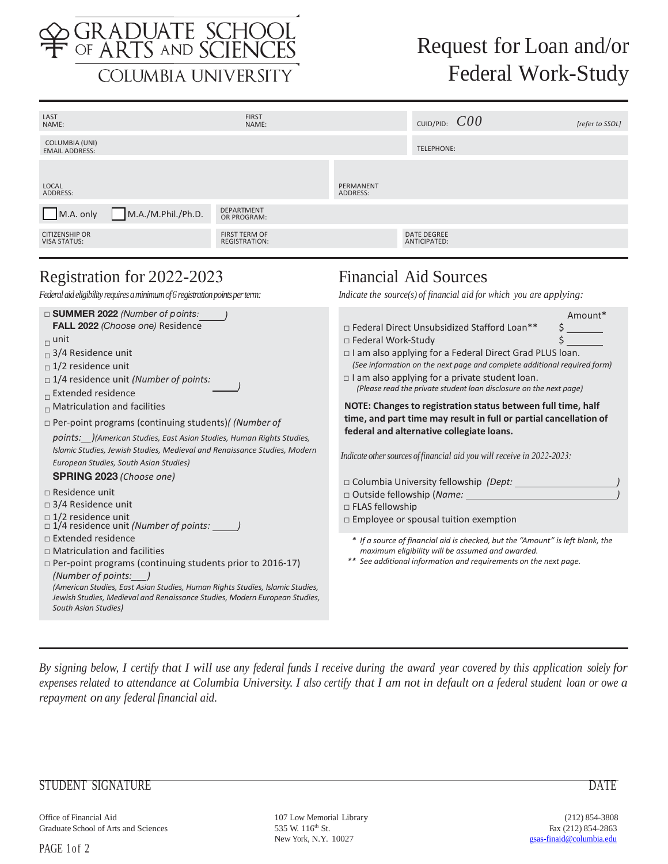

# Request for Loan and/or Federal Work-Study

| LAST<br>NAME:                                                                                               | <b>FIRST</b><br>NAME:                        |                                                                                                     | CUID/PID: $COO$                    |         | [refer to SSOL] |
|-------------------------------------------------------------------------------------------------------------|----------------------------------------------|-----------------------------------------------------------------------------------------------------|------------------------------------|---------|-----------------|
| <b>COLUMBIA (UNI)</b><br><b>EMAIL ADDRESS:</b>                                                              |                                              |                                                                                                     | <b>TELEPHONE:</b>                  |         |                 |
| LOCAL<br>ADDRESS:                                                                                           |                                              | PERMANENT<br>ADDRESS:                                                                               |                                    |         |                 |
| M.A./M.Phil./Ph.D.<br>M.A. only                                                                             | <b>DEPARTMENT</b><br>OR PROGRAM:             |                                                                                                     |                                    |         |                 |
| <b>CITIZENSHIP OR</b><br><b>VISA STATUS:</b>                                                                | <b>FIRST TERM OF</b><br><b>REGISTRATION:</b> |                                                                                                     | <b>DATE DEGREE</b><br>ANTICIPATED: |         |                 |
| Registration for 2022-2023<br>Federal aid eligibility requires a minimum of 6 registration points per term: |                                              | <b>Financial Aid Sources</b><br>Indicate the source(s) of financial aid for which you are applying: |                                    |         |                 |
| $\Box$ SUMMER 2022 (Number of points:                                                                       |                                              |                                                                                                     |                                    | Amount* |                 |

| FALL 2022 (Choose one) Residence<br>$\Box$ unit<br>$\Box$ 3/4 Residence unit<br>$\Box$ 1/2 residence unit<br>$\Box$ 1/4 residence unit (Number of points:<br>$\overline{\phantom{a}}$ Extended residence<br>$\Box$ Matriculation and facilities<br>$\Box$ Per-point programs (continuing students)( (Number of<br>points: )(American Studies, East Asian Studies, Human Rights Studies,<br>Islamic Studies, Jewish Studies, Medieval and Renaissance Studies, Modern<br>European Studies, South Asian Studies)<br><b>SPRING 2023 (Choose one)</b><br>$\Box$ Residence unit<br>$\Box$ 3/4 Residence unit<br>$\Box$ 1/2 residence unit<br>$\Box$ 1/4 residence unit (Number of points: ______<br>$\Box$ Extended residence<br>$\Box$ Matriculation and facilities<br>$\Box$ Per-point programs (continuing students prior to 2016-17)<br>(Number of points:<br>(American Studies, East Asian Studies, Human Rights Studies, Islamic Studies,<br>Jewish Studies, Medieval and Renaissance Studies, Modern European Studies,<br>South Asian Studies) | □ Federal Direct Unsubsidized Stafford Loan**<br>$\Box$ Federal Work-Study<br>□ I am also applying for a Federal Direct Grad PLUS loan.<br>(See information on the next page and complete additional required form)<br>$\Box$ I am also applying for a private student loan.<br>(Please read the private student loan disclosure on the next page)<br>NOTE: Changes to registration status between full time, half<br>time, and part time may result in full or partial cancellation of<br>federal and alternative collegiate loans.<br>Indicate other sources of financial aid you will receive in $2022$ -2023:<br>$\Box$ Columbia University fellowship (Dept: _____<br>□ Outside fellowship (Name: _______________<br>$\Box$ FLAS fellowship<br>$\Box$ Employee or spousal tuition exemption |
|--------------------------------------------------------------------------------------------------------------------------------------------------------------------------------------------------------------------------------------------------------------------------------------------------------------------------------------------------------------------------------------------------------------------------------------------------------------------------------------------------------------------------------------------------------------------------------------------------------------------------------------------------------------------------------------------------------------------------------------------------------------------------------------------------------------------------------------------------------------------------------------------------------------------------------------------------------------------------------------------------------------------------------------------------|--------------------------------------------------------------------------------------------------------------------------------------------------------------------------------------------------------------------------------------------------------------------------------------------------------------------------------------------------------------------------------------------------------------------------------------------------------------------------------------------------------------------------------------------------------------------------------------------------------------------------------------------------------------------------------------------------------------------------------------------------------------------------------------------------|
|                                                                                                                                                                                                                                                                                                                                                                                                                                                                                                                                                                                                                                                                                                                                                                                                                                                                                                                                                                                                                                                  | * If a source of financial aid is checked, but the "Amount" is left blank, the<br>maximum eligibility will be assumed and awarded.<br>** See additional information and requirements on the next page.                                                                                                                                                                                                                                                                                                                                                                                                                                                                                                                                                                                           |

*By signing below, I certify that I will use any federal funds I receive during the award year covered by this application solely for expenses related to attendance at Columbia University. I also certify that I am not in default on a federal student loan or owe a repayment on any federal financial aid.* 

### STUDENT SIGNATURE DATE

Office of Financial Aid 107 Low Memorial Library (212) 854-3808<br>
Graduate School of Arts and Sciences 535 W. 116<sup>th</sup> St. Fax (212) 854-2863

Graduate School of Arts and Sciences 535 W. 116<sup>th</sup> St. Fax (212) 854-2863<br>New York, N.Y. 10027 9sas-finald@columbia.edu New York, N.Y. 10027